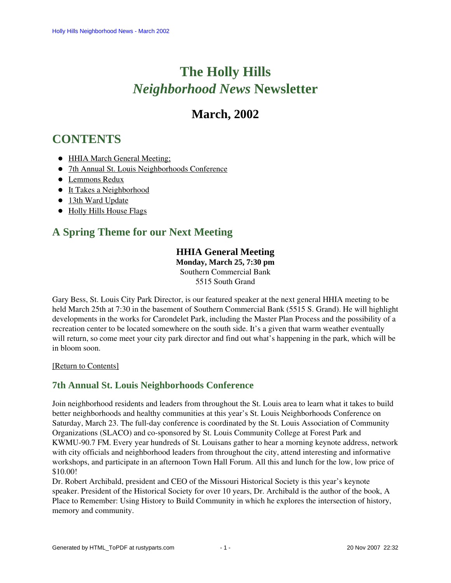# **The Holly Hills**  *Neighborhood News* **Newsletter**

## **March, 2002**

## <span id="page-0-2"></span>**CONTENTS**

- [HHIA March General Meeting;](#page-0-0)
- [7th Annual St. Louis Neighborhoods Conference](#page-0-1)
- [Lemmons Redux](#page-1-0)
- [It Takes a Neighborhood](#page-1-1)
- [13th Ward Update](#page-2-0)
- [Holly Hills House Flags](#page-2-1)

## <span id="page-0-0"></span>**A Spring Theme for our Next Meeting**

#### **HHIA General Meeting**

**Monday, March 25, 7:30 pm** Southern Commercial Bank 5515 South Grand

Gary Bess, St. Louis City Park Director, is our featured speaker at the next general HHIA meeting to be held March 25th at 7:30 in the basement of Southern Commercial Bank (5515 S. Grand). He will highlight developments in the works for Carondelet Park, including the Master Plan Process and the possibility of a recreation center to be located somewhere on the south side. It's a given that warm weather eventually will return, so come meet your city park director and find out what's happening in the park, which will be in bloom soon.

[Return to Contents]

#### <span id="page-0-1"></span>**7th Annual St. Louis Neighborhoods Conference**

Join neighborhood residents and leaders from throughout the St. Louis area to learn what it takes to build better neighborhoods and healthy communities at this year's St. Louis Neighborhoods Conference on Saturday, March 23. The full-day conference is coordinated by the St. Louis Association of Community Organizations (SLACO) and co-sponsored by St. Louis Community College at Forest Park and KWMU-90.7 FM. Every year hundreds of St. Louisans gather to hear a morning keynote address, network with city officials and neighborhood leaders from throughout the city, attend interesting and informative workshops, and participate in an afternoon Town Hall Forum. All this and lunch for the low, low price of \$10.00!

Dr. Robert Archibald, president and CEO of the Missouri Historical Society is this year's keynote speaker. President of the Historical Society for over 10 years, Dr. Archibald is the author of the book, A Place to Remember: Using History to Build Community in which he explores the intersection of history, memory and community.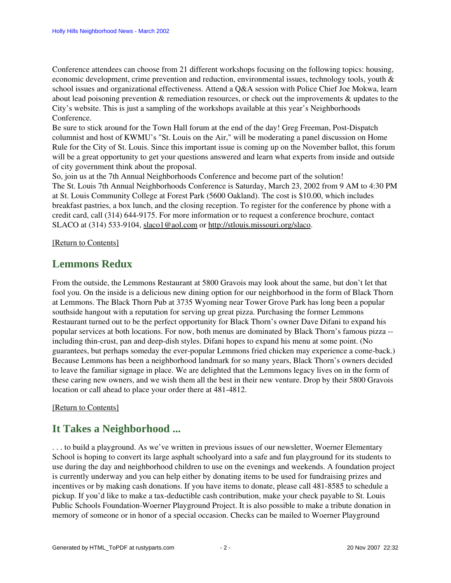Conference attendees can choose from 21 different workshops focusing on the following topics: housing, economic development, crime prevention and reduction, environmental issues, technology tools, youth & school issues and organizational effectiveness. Attend a Q&A session with Police Chief Joe Mokwa, learn about lead poisoning prevention & remediation resources, or check out the improvements & updates to the City's website. This is just a sampling of the workshops available at this year's Neighborhoods Conference.

Be sure to stick around for the Town Hall forum at the end of the day! Greg Freeman, Post-Dispatch columnist and host of KWMU's "St. Louis on the Air," will be moderating a panel discussion on Home Rule for the City of St. Louis. Since this important issue is coming up on the November ballot, this forum will be a great opportunity to get your questions answered and learn what experts from inside and outside of city government think about the proposal.

So, join us at the 7th Annual Neighborhoods Conference and become part of the solution! The St. Louis 7th Annual Neighborhoods Conference is Saturday, March 23, 2002 from 9 AM to 4:30 PM at St. Louis Community College at Forest Park (5600 Oakland). The cost is \$10.00, which includes breakfast pastries, a box lunch, and the closing reception. To register for the conference by phone with a credit card, call (314) 644-9175. For more information or to request a conference brochure, contact SLACO at (314) 533-9104, slaco1@aol.com or [http://stlouis.missouri.org/slaco.](http://stlouis.missouri.org/slaco)

#### <span id="page-1-0"></span>[\[Return to Contents\]](#page-0-2)

### **Lemmons Redux**

From the outside, the Lemmons Restaurant at 5800 Gravois may look about the same, but don't let that fool you. On the inside is a delicious new dining option for our neighborhood in the form of Black Thorn at Lemmons. The Black Thorn Pub at 3735 Wyoming near Tower Grove Park has long been a popular southside hangout with a reputation for serving up great pizza. Purchasing the former Lemmons Restaurant turned out to be the perfect opportunity for Black Thorn's owner Dave Difani to expand his popular services at both locations. For now, both menus are dominated by Black Thorn's famous pizza - including thin-crust, pan and deep-dish styles. Difani hopes to expand his menu at some point. (No guarantees, but perhaps someday the ever-popular Lemmons fried chicken may experience a come-back.) Because Lemmons has been a neighborhood landmark for so many years, Black Thorn's owners decided to leave the familiar signage in place. We are delighted that the Lemmons legacy lives on in the form of these caring new owners, and we wish them all the best in their new venture. Drop by their 5800 Gravois location or call ahead to place your order there at 481-4812.

#### <span id="page-1-1"></span>[\[Return to Contents\]](#page-0-2)

### **It Takes a Neighborhood ...**

. . . to build a playground. As we've written in previous issues of our newsletter, Woerner Elementary School is hoping to convert its large asphalt schoolyard into a safe and fun playground for its students to use during the day and neighborhood children to use on the evenings and weekends. A foundation project is currently underway and you can help either by donating items to be used for fundraising prizes and incentives or by making cash donations. If you have items to donate, please call 481-8585 to schedule a pickup. If you'd like to make a tax-deductible cash contribution, make your check payable to St. Louis Public Schools Foundation-Woerner Playground Project. It is also possible to make a tribute donation in memory of someone or in honor of a special occasion. Checks can be mailed to Woerner Playground